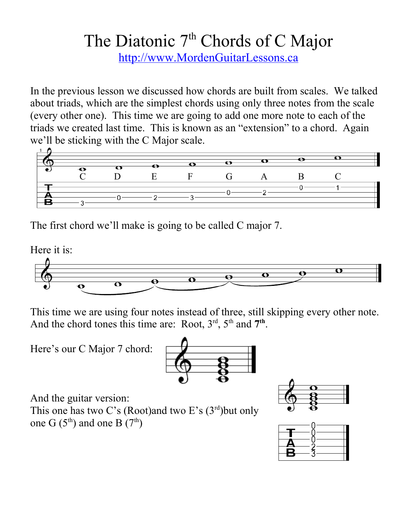## The Diatonic  $7<sup>th</sup>$  Chords of C Major

[http://www.MordenGuitarLessons.ca](http://www.MordenGuitarLessons.ca/)

In the previous lesson we discussed how chords are built from scales. We talked about triads, which are the simplest chords using only three notes from the scale (every other one). This time we are going to add one more note to each of the triads we created last time. This is known as an "extension" to a chord. Again we'll be sticking with the C Major scale.



The first chord we'll make is going to be called C major 7.

Here it is:



This time we are using four notes instead of three, still skipping every other note. And the chord tones this time are: Root,  $3<sup>rd</sup>$ ,  $5<sup>th</sup>$  and  $7<sup>th</sup>$ .

Here's our C Major 7 chord:



And the guitar version:

This one has two C's (Root)and two E's  $(3<sup>rd</sup>)$ but only one G  $(5<sup>th</sup>)$  and one B  $(7<sup>th</sup>)$